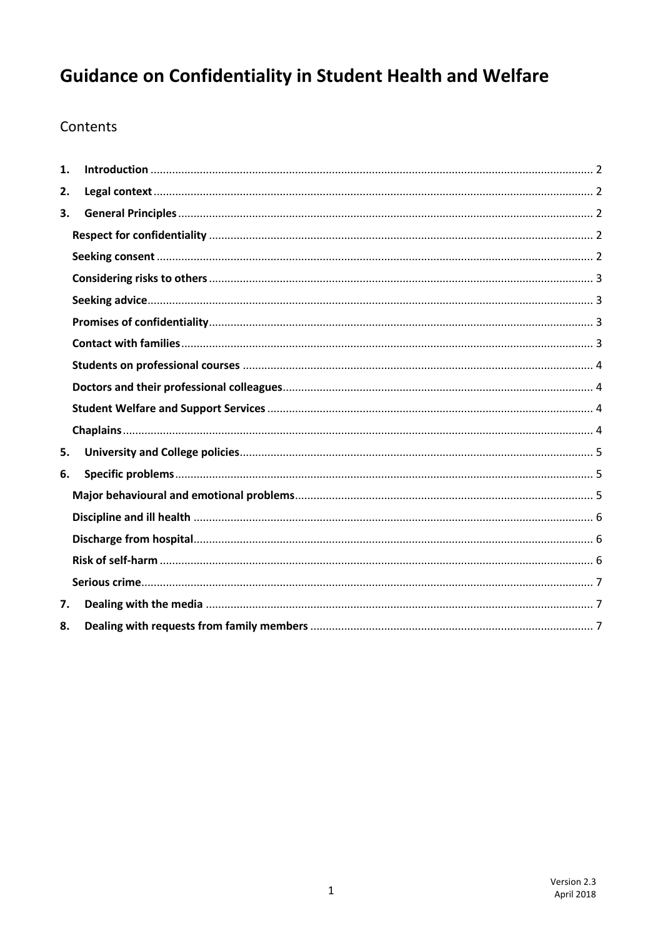# **Guidance on Confidentiality in Student Health and Welfare**

## Contents

| 1. |  |
|----|--|
| 2. |  |
| 3. |  |
|    |  |
|    |  |
|    |  |
|    |  |
|    |  |
|    |  |
|    |  |
|    |  |
|    |  |
|    |  |
| 5. |  |
| 6. |  |
|    |  |
|    |  |
|    |  |
|    |  |
|    |  |
| 7. |  |
| 8. |  |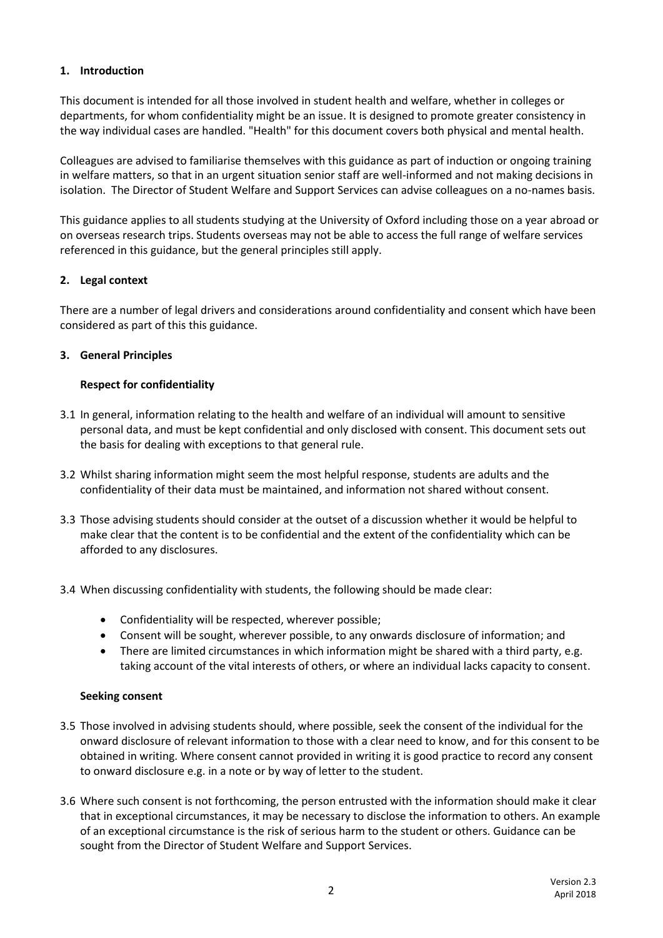## <span id="page-1-0"></span>**1. Introduction**

This document is intended for all those involved in student health and welfare, whether in colleges or departments, for whom confidentiality might be an issue. It is designed to promote greater consistency in the way individual cases are handled. "Health" for this document covers both physical and mental health.

Colleagues are advised to familiarise themselves with this guidance as part of induction or ongoing training in welfare matters, so that in an urgent situation senior staff are well-informed and not making decisions in isolation. The Director of Student Welfare and Support Services can advise colleagues on a no-names basis.

This guidance applies to all students studying at the University of Oxford including those on a year abroad or on overseas research trips. Students overseas may not be able to access the full range of welfare services referenced in this guidance, but the general principles still apply.

## <span id="page-1-1"></span>**2. Legal context**

There are a number of legal drivers and considerations around confidentiality and consent which have been considered as part of this this guidance.

## <span id="page-1-2"></span>**3. General Principles**

## <span id="page-1-3"></span>**Respect for confidentiality**

- 3.1 In general, information relating to the health and welfare of an individual will amount to sensitive personal data, and must be kept confidential and only disclosed with consent. This document sets out the basis for dealing with exceptions to that general rule.
- 3.2 Whilst sharing information might seem the most helpful response, students are adults and the confidentiality of their data must be maintained, and information not shared without consent.
- 3.3 Those advising students should consider at the outset of a discussion whether it would be helpful to make clear that the content is to be confidential and the extent of the confidentiality which can be afforded to any disclosures.
- 3.4 When discussing confidentiality with students, the following should be made clear:
	- Confidentiality will be respected, wherever possible;
	- Consent will be sought, wherever possible, to any onwards disclosure of information; and
	- There are limited circumstances in which information might be shared with a third party, e.g. taking account of the vital interests of others, or where an individual lacks capacity to consent.

## <span id="page-1-4"></span>**Seeking consent**

- 3.5 Those involved in advising students should, where possible, seek the consent of the individual for the onward disclosure of relevant information to those with a clear need to know, and for this consent to be obtained in writing. Where consent cannot provided in writing it is good practice to record any consent to onward disclosure e.g. in a note or by way of letter to the student.
- 3.6 Where such consent is not forthcoming, the person entrusted with the information should make it clear that in exceptional circumstances, it may be necessary to disclose the information to others. An example of an exceptional circumstance is the risk of serious harm to the student or others. Guidance can be sought from the Director of Student Welfare and Support Services.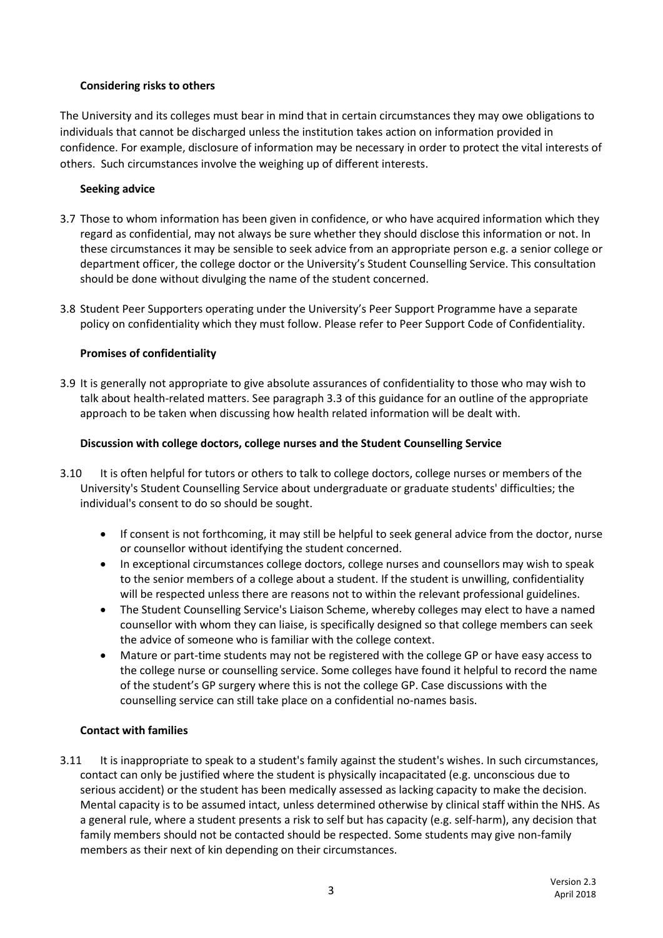## <span id="page-2-0"></span>**Considering risks to others**

The University and its colleges must bear in mind that in certain circumstances they may owe obligations to individuals that cannot be discharged unless the institution takes action on information provided in confidence. For example, disclosure of information may be necessary in order to protect the vital interests of others. Such circumstances involve the weighing up of different interests.

## <span id="page-2-1"></span>**Seeking advice**

- 3.7 Those to whom information has been given in confidence, or who have acquired information which they regard as confidential, may not always be sure whether they should disclose this information or not. In these circumstances it may be sensible to seek advice from an appropriate person e.g. a senior college or department officer, the college doctor or the University's Student Counselling Service. This consultation should be done without divulging the name of the student concerned.
- 3.8 Student Peer Supporters operating under the University's Peer Support Programme have a separate policy on confidentiality which they must follow. Please refer to Peer Support Code of Confidentiality.

## <span id="page-2-2"></span>**Promises of confidentiality**

3.9 It is generally not appropriate to give absolute assurances of confidentiality to those who may wish to talk about health-related matters. See paragraph 3.3 of this guidance for an outline of the appropriate approach to be taken when discussing how health related information will be dealt with.

## **Discussion with college doctors, college nurses and the Student Counselling Service**

- 3.10 It is often helpful for tutors or others to talk to college doctors, college nurses or members of the University's Student Counselling Service about undergraduate or graduate students' difficulties; the individual's consent to do so should be sought.
	- If consent is not forthcoming, it may still be helpful to seek general advice from the doctor, nurse or counsellor without identifying the student concerned.
	- In exceptional circumstances college doctors, college nurses and counsellors may wish to speak to the senior members of a college about a student. If the student is unwilling, confidentiality will be respected unless there are reasons not to within the relevant professional guidelines.
	- The Student Counselling Service's Liaison Scheme, whereby colleges may elect to have a named counsellor with whom they can liaise, is specifically designed so that college members can seek the advice of someone who is familiar with the college context.
	- Mature or part-time students may not be registered with the college GP or have easy access to the college nurse or counselling service. Some colleges have found it helpful to record the name of the student's GP surgery where this is not the college GP. Case discussions with the counselling service can still take place on a confidential no-names basis.

## <span id="page-2-3"></span>**Contact with families**

3.11 It is inappropriate to speak to a student's family against the student's wishes. In such circumstances, contact can only be justified where the student is physically incapacitated (e.g. unconscious due to serious accident) or the student has been medically assessed as lacking capacity to make the decision. Mental capacity is to be assumed intact, unless determined otherwise by clinical staff within the NHS. As a general rule, where a student presents a risk to self but has capacity (e.g. self-harm), any decision that family members should not be contacted should be respected. Some students may give non-family members as their next of kin depending on their circumstances.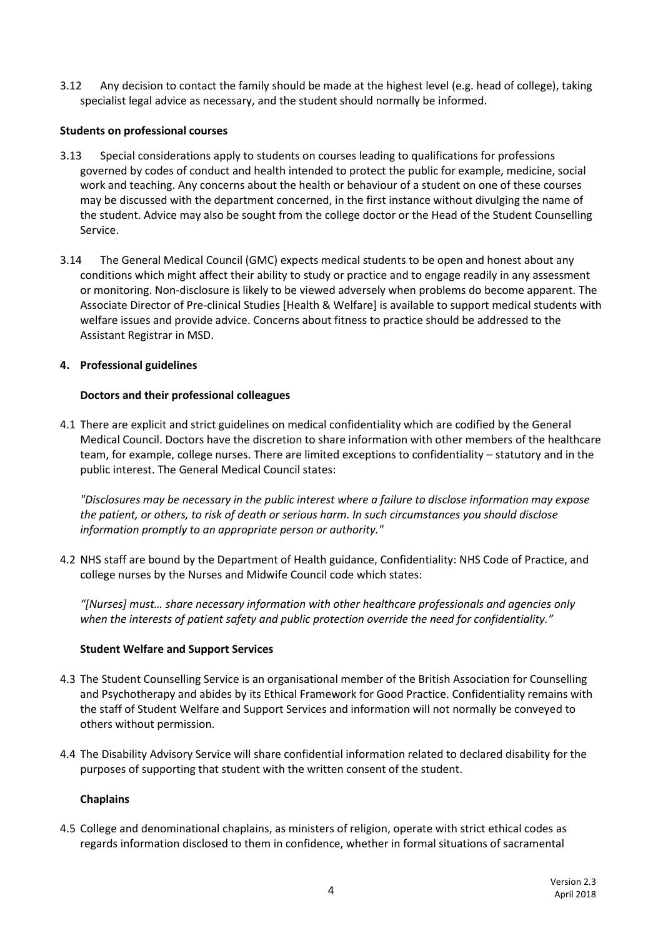3.12 Any decision to contact the family should be made at the highest level (e.g. head of college), taking specialist legal advice as necessary, and the student should normally be informed.

## <span id="page-3-0"></span>**Students on professional courses**

- 3.13 Special considerations apply to students on courses leading to qualifications for professions governed by codes of conduct and health intended to protect the public for example, medicine, social work and teaching. Any concerns about the health or behaviour of a student on one of these courses may be discussed with the department concerned, in the first instance without divulging the name of the student. Advice may also be sought from the college doctor or the Head of the Student Counselling Service.
- 3.14 The General Medical Council (GMC) expects medical students to be open and honest about any conditions which might affect their ability to study or practice and to engage readily in any assessment or monitoring. Non-disclosure is likely to be viewed adversely when problems do become apparent. The Associate Director of Pre-clinical Studies [Health & Welfare] is available to support medical students with welfare issues and provide advice. Concerns about fitness to practice should be addressed to the Assistant Registrar in MSD.

## **4. Professional guidelines**

## <span id="page-3-1"></span>**Doctors and their professional colleagues**

4.1 There are explicit and strict guidelines on medical confidentiality which are codified by the General Medical Council. Doctors have the discretion to share information with other members of the healthcare team, for example, college nurses. There are limited exceptions to confidentiality – statutory and in the public interest. The General Medical Council states:

*"Disclosures may be necessary in the public interest where a failure to disclose information may expose the patient, or others, to risk of death or serious harm. In such circumstances you should disclose information promptly to an appropriate person or authority."* 

4.2 NHS staff are bound by the Department of Health guidance, Confidentiality: NHS Code of Practice, and college nurses by the Nurses and Midwife Council code which states:

*"[Nurses] must… share necessary information with other healthcare professionals and agencies only when the interests of patient safety and public protection override the need for confidentiality."*

#### <span id="page-3-2"></span>**Student Welfare and Support Services**

- 4.3 The Student Counselling Service is an organisational member of the British Association for Counselling and Psychotherapy and abides by its Ethical Framework for Good Practice. Confidentiality remains with the staff of Student Welfare and Support Services and information will not normally be conveyed to others without permission.
- 4.4 The Disability Advisory Service will share confidential information related to declared disability for the purposes of supporting that student with the written consent of the student.

#### <span id="page-3-3"></span>**Chaplains**

4.5 College and denominational chaplains, as ministers of religion, operate with strict ethical codes as regards information disclosed to them in confidence, whether in formal situations of sacramental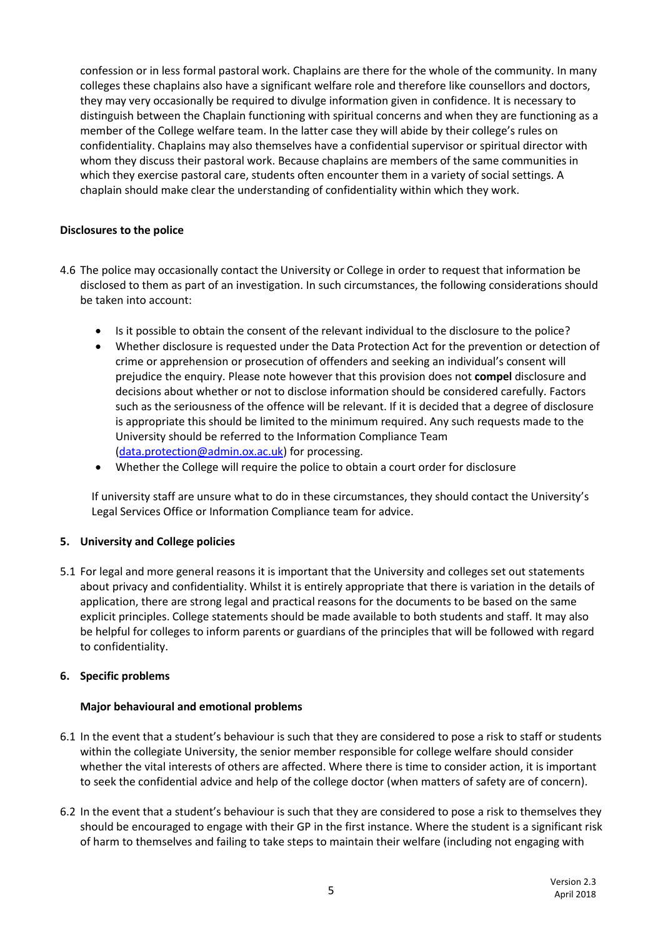confession or in less formal pastoral work. Chaplains are there for the whole of the community. In many colleges these chaplains also have a significant welfare role and therefore like counsellors and doctors, they may very occasionally be required to divulge information given in confidence. It is necessary to distinguish between the Chaplain functioning with spiritual concerns and when they are functioning as a member of the College welfare team. In the latter case they will abide by their college's rules on confidentiality. Chaplains may also themselves have a confidential supervisor or spiritual director with whom they discuss their pastoral work. Because chaplains are members of the same communities in which they exercise pastoral care, students often encounter them in a variety of social settings. A chaplain should make clear the understanding of confidentiality within which they work.

## **Disclosures to the police**

- 4.6 The police may occasionally contact the University or College in order to request that information be disclosed to them as part of an investigation. In such circumstances, the following considerations should be taken into account:
	- Is it possible to obtain the consent of the relevant individual to the disclosure to the police?
	- Whether disclosure is requested under the Data Protection Act for the prevention or detection of crime or apprehension or prosecution of offenders and seeking an individual's consent will prejudice the enquiry. Please note however that this provision does not **compel** disclosure and decisions about whether or not to disclose information should be considered carefully. Factors such as the seriousness of the offence will be relevant. If it is decided that a degree of disclosure is appropriate this should be limited to the minimum required. Any such requests made to the University should be referred to the Information Compliance Team [\(data.protection@admin.ox.ac.uk\)](mailto:data.protection@admin.ox.ac.uk) for processing.
	- Whether the College will require the police to obtain a court order for disclosure

If university staff are unsure what to do in these circumstances, they should contact the University's Legal Services Office or Information Compliance team for advice.

## <span id="page-4-0"></span>**5. University and College policies**

5.1 For legal and more general reasons it is important that the University and colleges set out statements about privacy and confidentiality. Whilst it is entirely appropriate that there is variation in the details of application, there are strong legal and practical reasons for the documents to be based on the same explicit principles. College statements should be made available to both students and staff. It may also be helpful for colleges to inform parents or guardians of the principles that will be followed with regard to confidentiality.

## <span id="page-4-1"></span>**6. Specific problems**

## <span id="page-4-2"></span>**Major behavioural and emotional problems**

- 6.1 In the event that a student's behaviour is such that they are considered to pose a risk to staff or students within the collegiate University, the senior member responsible for college welfare should consider whether the vital interests of others are affected. Where there is time to consider action, it is important to seek the confidential advice and help of the college doctor (when matters of safety are of concern).
- 6.2 In the event that a student's behaviour is such that they are considered to pose a risk to themselves they should be encouraged to engage with their GP in the first instance. Where the student is a significant risk of harm to themselves and failing to take steps to maintain their welfare (including not engaging with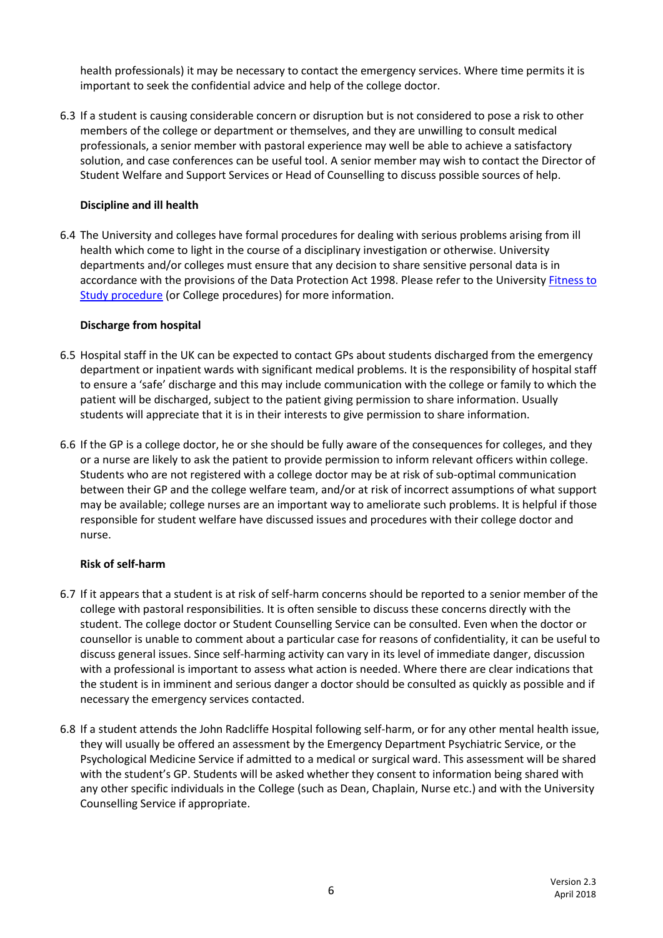health professionals) it may be necessary to contact the emergency services. Where time permits it is important to seek the confidential advice and help of the college doctor.

6.3 If a student is causing considerable concern or disruption but is not considered to pose a risk to other members of the college or department or themselves, and they are unwilling to consult medical professionals, a senior member with pastoral experience may well be able to achieve a satisfactory solution, and case conferences can be useful tool. A senior member may wish to contact the Director of Student Welfare and Support Services or Head of Counselling to discuss possible sources of help.

## <span id="page-5-0"></span>**Discipline and ill health**

6.4 The University and colleges have formal procedures for dealing with serious problems arising from ill health which come to light in the course of a disciplinary investigation or otherwise. University departments and/or colleges must ensure that any decision to share sensitive personal data is in accordance with the provisions of the Data Protection Act 1998. Please refer to the University [Fitness to](https://www.admin.ox.ac.uk/media/global/wwwadminoxacuk/localsites/educationcommittee/documents/notesofguidance/Fitness_to_Study_for_departments.pdf)  Study [procedure](https://www.admin.ox.ac.uk/media/global/wwwadminoxacuk/localsites/educationcommittee/documents/notesofguidance/Fitness_to_Study_for_departments.pdf) (or College procedures) for more information.

#### <span id="page-5-1"></span>**Discharge from hospital**

- 6.5 Hospital staff in the UK can be expected to contact GPs about students discharged from the emergency department or inpatient wards with significant medical problems. It is the responsibility of hospital staff to ensure a 'safe' discharge and this may include communication with the college or family to which the patient will be discharged, subject to the patient giving permission to share information. Usually students will appreciate that it is in their interests to give permission to share information.
- 6.6 If the GP is a college doctor, he or she should be fully aware of the consequences for colleges, and they or a nurse are likely to ask the patient to provide permission to inform relevant officers within college. Students who are not registered with a college doctor may be at risk of sub-optimal communication between their GP and the college welfare team, and/or at risk of incorrect assumptions of what support may be available; college nurses are an important way to ameliorate such problems. It is helpful if those responsible for student welfare have discussed issues and procedures with their college doctor and nurse.

#### <span id="page-5-2"></span>**Risk of self-harm**

- 6.7 If it appears that a student is at risk of self-harm concerns should be reported to a senior member of the college with pastoral responsibilities. It is often sensible to discuss these concerns directly with the student. The college doctor or Student Counselling Service can be consulted. Even when the doctor or counsellor is unable to comment about a particular case for reasons of confidentiality, it can be useful to discuss general issues. Since self-harming activity can vary in its level of immediate danger, discussion with a professional is important to assess what action is needed. Where there are clear indications that the student is in imminent and serious danger a doctor should be consulted as quickly as possible and if necessary the emergency services contacted.
- <span id="page-5-3"></span>6.8 If a student attends the John Radcliffe Hospital following self-harm, or for any other mental health issue, they will usually be offered an assessment by the Emergency Department Psychiatric Service, or the Psychological Medicine Service if admitted to a medical or surgical ward. This assessment will be shared with the student's GP. Students will be asked whether they consent to information being shared with any other specific individuals in the College (such as Dean, Chaplain, Nurse etc.) and with the University Counselling Service if appropriate.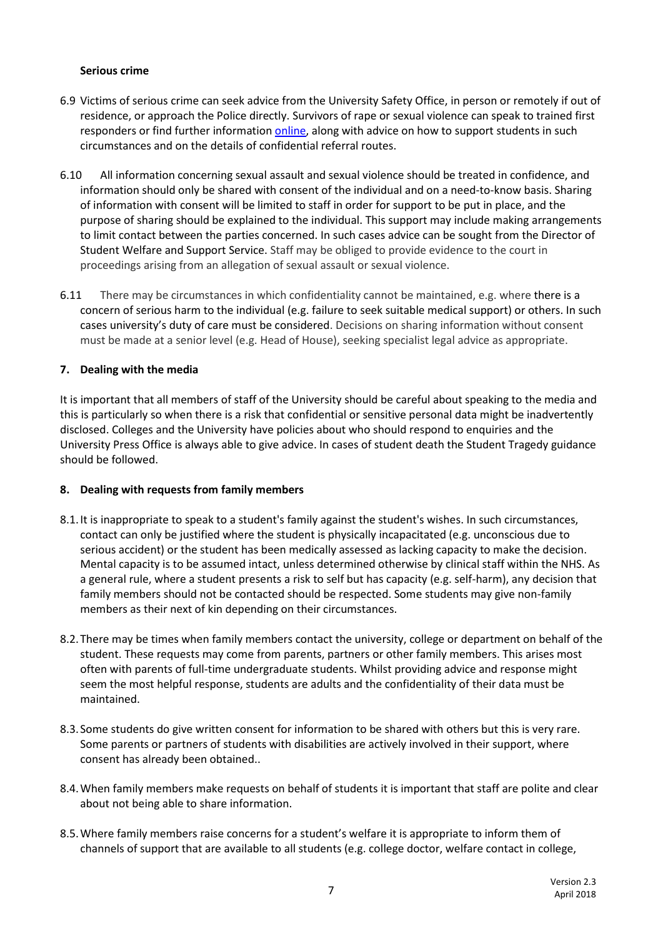## **Serious crime**

- 6.9 Victims of serious crime can seek advice from the University Safety Office, in person or remotely if out of residence, or approach the Police directly. Survivors of rape or sexual violence can speak to trained first responders or find further informatio[n online,](https://www.admin.ox.ac.uk/eop/harassmentadvice/policyandprocedure/guidance/) along with advice on how to support students in such circumstances and on the details of confidential referral routes.
- 6.10 All information concerning sexual assault and sexual violence should be treated in confidence, and information should only be shared with consent of the individual and on a need-to-know basis. Sharing of information with consent will be limited to staff in order for support to be put in place, and the purpose of sharing should be explained to the individual. This support may include making arrangements to limit contact between the parties concerned. In such cases advice can be sought from the Director of Student Welfare and Support Service. Staff may be obliged to provide evidence to the court in proceedings arising from an allegation of sexual assault or sexual violence.
- 6.11 There may be circumstances in which confidentiality cannot be maintained, e.g. where there is a concern of serious harm to the individual (e.g. failure to seek suitable medical support) or others. In such cases university's duty of care must be considered. Decisions on sharing information without consent must be made at a senior level (e.g. Head of House), seeking specialist legal advice as appropriate.

## <span id="page-6-0"></span>**7. Dealing with the media**

It is important that all members of staff of the University should be careful about speaking to the media and this is particularly so when there is a risk that confidential or sensitive personal data might be inadvertently disclosed. Colleges and the University have policies about who should respond to enquiries and the University Press Office is always able to give advice. In cases of student death the Student Tragedy guidance should be followed.

#### <span id="page-6-1"></span>**8. Dealing with requests from family members**

- 8.1.It is inappropriate to speak to a student's family against the student's wishes. In such circumstances, contact can only be justified where the student is physically incapacitated (e.g. unconscious due to serious accident) or the student has been medically assessed as lacking capacity to make the decision. Mental capacity is to be assumed intact, unless determined otherwise by clinical staff within the NHS. As a general rule, where a student presents a risk to self but has capacity (e.g. self-harm), any decision that family members should not be contacted should be respected. Some students may give non-family members as their next of kin depending on their circumstances.
- 8.2.There may be times when family members contact the university, college or department on behalf of the student. These requests may come from parents, partners or other family members. This arises most often with parents of full-time undergraduate students. Whilst providing advice and response might seem the most helpful response, students are adults and the confidentiality of their data must be maintained.
- 8.3.Some students do give written consent for information to be shared with others but this is very rare. Some parents or partners of students with disabilities are actively involved in their support, where consent has already been obtained..
- 8.4.When family members make requests on behalf of students it is important that staff are polite and clear about not being able to share information.
- 8.5.Where family members raise concerns for a student's welfare it is appropriate to inform them of channels of support that are available to all students (e.g. college doctor, welfare contact in college,